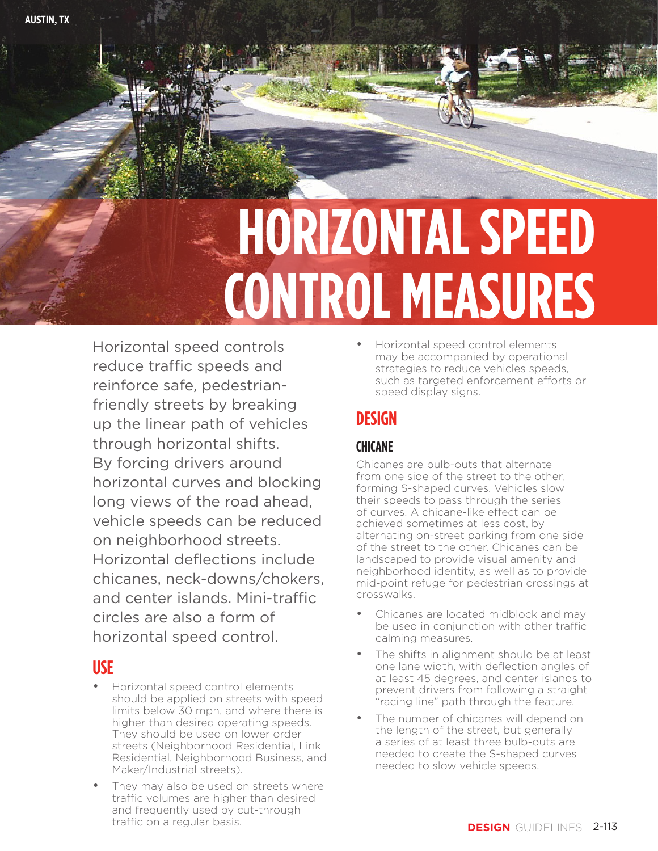# **HORIZONTAL SPEED CONTROL MEASURES**

Horizontal speed controls reduce traffic speeds and reinforce safe, pedestrianfriendly streets by breaking up the linear path of vehicles through horizontal shifts. By forcing drivers around horizontal curves and blocking long views of the road ahead, vehicle speeds can be reduced on neighborhood streets. Horizontal deflections include chicanes, neck-downs/chokers, and center islands. Mini-traffic circles are also a form of horizontal speed control.

## **USE**

- Horizontal speed control elements should be applied on streets with speed limits below 30 mph, and where there is higher than desired operating speeds. They should be used on lower order streets (Neighborhood Residential, Link Residential, Neighborhood Business, and Maker/Industrial streets).
- They may also be used on streets where traffic volumes are higher than desired and frequently used by cut-through traffic on a regular basis.

• Horizontal speed control elements may be accompanied by operational strategies to reduce vehicles speeds, such as targeted enforcement efforts or speed display signs.

# **DESIGN**

### **CHICANE**

Chicanes are bulb-outs that alternate from one side of the street to the other, forming S-shaped curves. Vehicles slow their speeds to pass through the series of curves. A chicane-like effect can be achieved sometimes at less cost, by alternating on-street parking from one side of the street to the other. Chicanes can be landscaped to provide visual amenity and neighborhood identity, as well as to provide mid-point refuge for pedestrian crossings at crosswalks.

- Chicanes are located midblock and may be used in conjunction with other traffic calming measures.
- The shifts in alignment should be at least one lane width, with deflection angles of at least 45 degrees, and center islands to prevent drivers from following a straight "racing line" path through the feature.
- The number of chicanes will depend on the length of the street, but generally a series of at least three bulb-outs are needed to create the S-shaped curves needed to slow vehicle speeds.